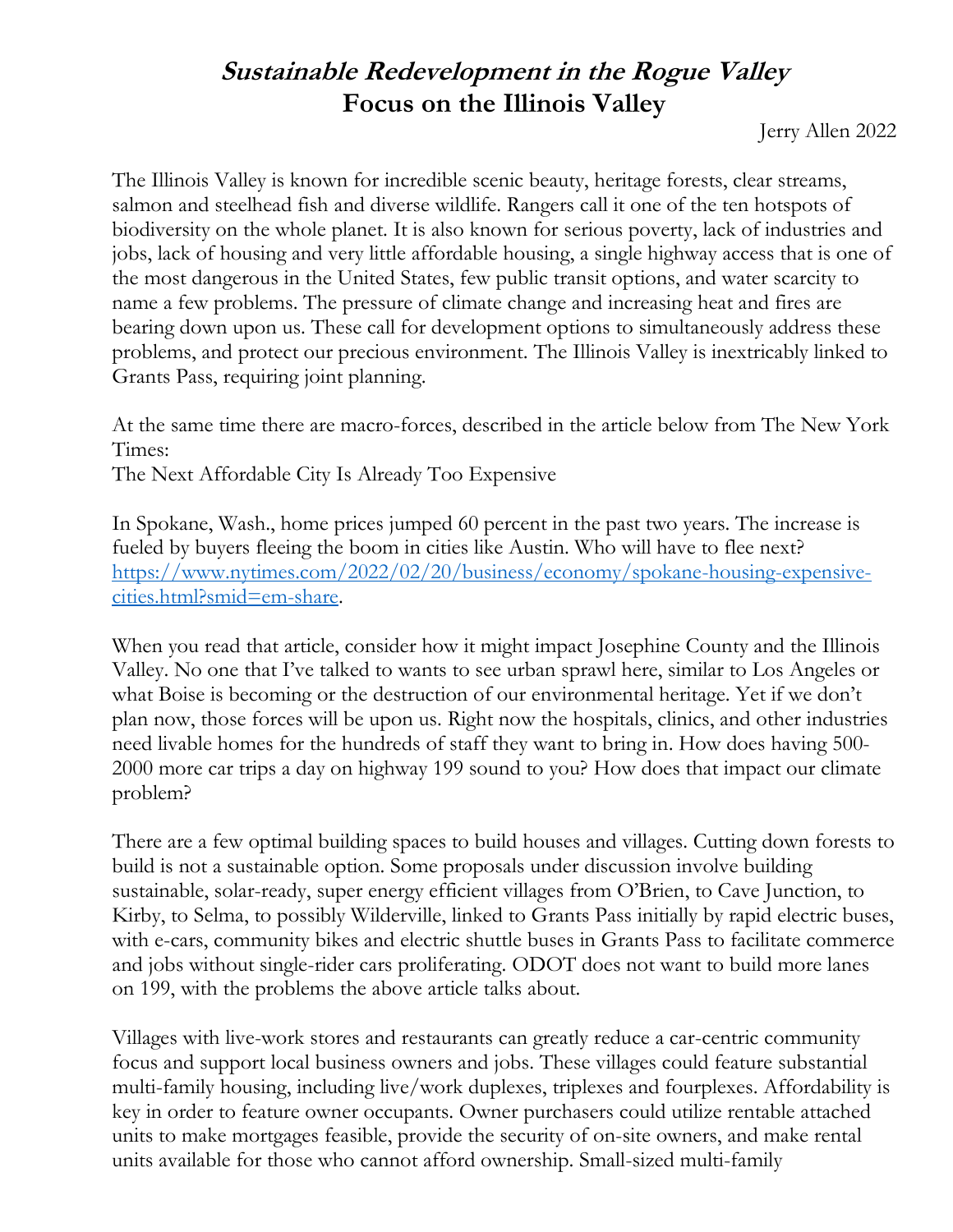## **Sustainable Redevelopment in the Rogue Valley Focus on the Illinois Valley**

Jerry Allen 2022

The Illinois Valley is known for incredible scenic beauty, heritage forests, clear streams, salmon and steelhead fish and diverse wildlife. Rangers call it one of the ten hotspots of biodiversity on the whole planet. It is also known for serious poverty, lack of industries and jobs, lack of housing and very little affordable housing, a single highway access that is one of the most dangerous in the United States, few public transit options, and water scarcity to name a few problems. The pressure of climate change and increasing heat and fires are bearing down upon us. These call for development options to simultaneously address these problems, and protect our precious environment. The Illinois Valley is inextricably linked to Grants Pass, requiring joint planning.

At the same time there are macro-forces, described in the article below from The New York Times:

The Next Affordable City Is Already Too Expensive

In Spokane, Wash., home prices jumped 60 percent in the past two years. The increase is fueled by buyers fleeing the boom in cities like Austin. Who will have to flee next? [https://www.nytimes.com/2022/02/20/business/economy/spokane-housing-expensive](https://www.nytimes.com/2022/02/20/business/economy/spokane-housing-expensive-cities.html?smid=em-share)[cities.html?smid=em-share.](https://www.nytimes.com/2022/02/20/business/economy/spokane-housing-expensive-cities.html?smid=em-share)

When you read that article, consider how it might impact Josephine County and the Illinois Valley. No one that I've talked to wants to see urban sprawl here, similar to Los Angeles or what Boise is becoming or the destruction of our environmental heritage. Yet if we don't plan now, those forces will be upon us. Right now the hospitals, clinics, and other industries need livable homes for the hundreds of staff they want to bring in. How does having 500- 2000 more car trips a day on highway 199 sound to you? How does that impact our climate problem?

There are a few optimal building spaces to build houses and villages. Cutting down forests to build is not a sustainable option. Some proposals under discussion involve building sustainable, solar-ready, super energy efficient villages from O'Brien, to Cave Junction, to Kirby, to Selma, to possibly Wilderville, linked to Grants Pass initially by rapid electric buses, with e-cars, community bikes and electric shuttle buses in Grants Pass to facilitate commerce and jobs without single-rider cars proliferating. ODOT does not want to build more lanes on 199, with the problems the above article talks about.

Villages with live-work stores and restaurants can greatly reduce a car-centric community focus and support local business owners and jobs. These villages could feature substantial multi-family housing, including live/work duplexes, triplexes and fourplexes. Affordability is key in order to feature owner occupants. Owner purchasers could utilize rentable attached units to make mortgages feasible, provide the security of on-site owners, and make rental units available for those who cannot afford ownership. Small-sized multi-family